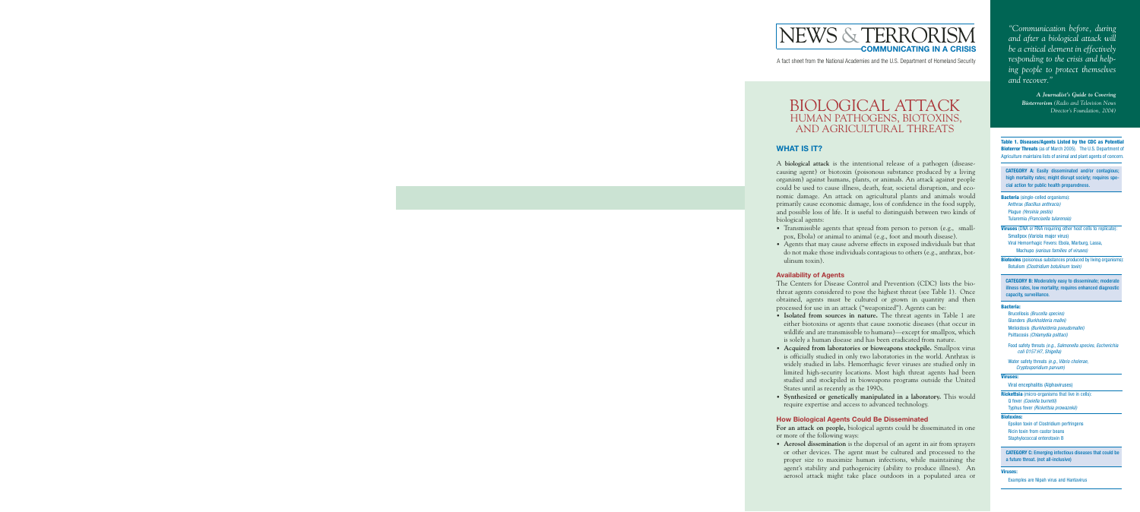# NEWS & TERRORIS **COMMUNICATING IN A CRISIS**

A fact sheet from the National Academies and the U.S. Department of Homeland Security

## BIOLOGICAL ATTACK HUMAN PATHOGENS, BIOTOXINS, AND AGRICULTURAL THREATS

### **WHAT IS IT?**

A **biological attack** is the intentional release of a pathogen (diseasecausing agent) or biotoxin (poisonous substance produced by a living organism) against humans, plants, or animals. An attack against people could be used to cause illness, death, fear, societal disruption, and economic damage. An attack on agricultural plants and animals would primarily cause economic damage, loss of confidence in the food supply, and possible loss of life. It is useful to distinguish between two kinds of biological agents:

- Transmissible agents that spread from person to person (e.g., smallpox, Ebola) or animal to animal (e.g., foot and mouth disease).
- Agents that may cause adverse effects in exposed individuals but that do not make those individuals contagious to others (e.g., anthrax, botulinum toxin).

#### **Availability of Agents**

The Centers for Disease Control and Prevention (CDC) lists the biothreat agents considered to pose the highest threat (see Table 1). Once obtained, agents must be cultured or grown in quantity and then processed for use in an attack ("weaponized"). Agents can be:

- Isolated from sources in nature. The threat agents in Table 1 are either biotoxins or agents that cause zoonotic diseases (that occur in wildlife and are transmissible to humans)—except for smallpox, which is solely a human disease and has been eradicated from nature.
- **Acquired from laboratories or bioweapons stockpile.** Smallpox virus is officially studied in only two laboratories in the world. Anthrax is widely studied in labs. Hemorrhagic fever viruses are studied only in limited high-security locations. Most high threat agents had been studied and stockpiled in bioweapons programs outside the United States until as recently as the 1990s.
- **Synthesized or genetically manipulated in a laboratory.** This would require expertise and access to advanced technology.

#### **How Biological Agents Could Be Disseminated**

**For an attack on people,** biological agents could be disseminated in one or more of the following ways:

**• Aerosol dissemination** is the dispersal of an agent in air from sprayers or other devices. The agent must be cultured and processed to the proper size to maximize human infections, while maintaining the agent's stability and pathogenicity (ability to produce illness). An aerosol attack might take place outdoors in a populated area or *"Communication before, during and after a biological attack will be a critical element in effectively responding to the crisis and helping people to protect themselves and recover."* 

> *A Journalist's Guide to Covering Bioterrorism (Radio and Television News Director's Foundation, 2004)*

**Table 1. Diseases/Agents Listed by the CDC as Potential Bioterror Threats** (as of March 2005). The U.S. Department of Agriculture maintains lists of animal and plant agents of concern.

**CATEGORY A:** Easily disseminated and/or contagious; high mortality rates; might disrupt society; requires special action for public health preparedness.

**Bacteria** (single-celled organisms): Anthrax (Bacillus anthracis) Plague (Yersinia pestis) Tularemia (Francisella tularensis)

**Viruses** (DNA or RNA requiring other host cells to replicate): Smallpox (Variola major virus) Viral Hemorrhagic Fevers: Ebola, Marburg, Lassa, Machupo (various families of viruses)

**Biotoxins** (poisonous substances produced by living organisms): Botulism (Clostridium botulinum toxin)

**CATEGORY B:** Moderately easy to disseminate; moderate illness rates, low mortality; requires enhanced diagnostic capacity, surveillance.

#### **Bacteria:**

Brucellosis (Brucella species) Glanders (Burkholderia mallei) Melioidosis (Burkholderia pseudomallei) Psittacosis (Chlamydia psittaci)

Food safety threats (e.g., Salmonella species, Escherichia coli O157:H7, Shigella)

Water safety threats (e.g., Vibrio cholerae, Cryptosporidium parvum)

#### **Viruses:**

Viral encephalitis (Alphaviruses)

**Rickettsia** (micro-organisms that live in cells): Q fever (Coxiella burnetii) Typhus fever (Rickettsia prowazekii)

#### **Biotoxins:**

Epsilon toxin of Clostridium perfringens Ricin toxin from castor beans Staphylococcal enterotoxin B

**CATEGORY C:** Emerging infectious diseases that could be a future threat. (not all-inclusive)

#### **Viruses:**

Examples are Nipah virus and Hantavirus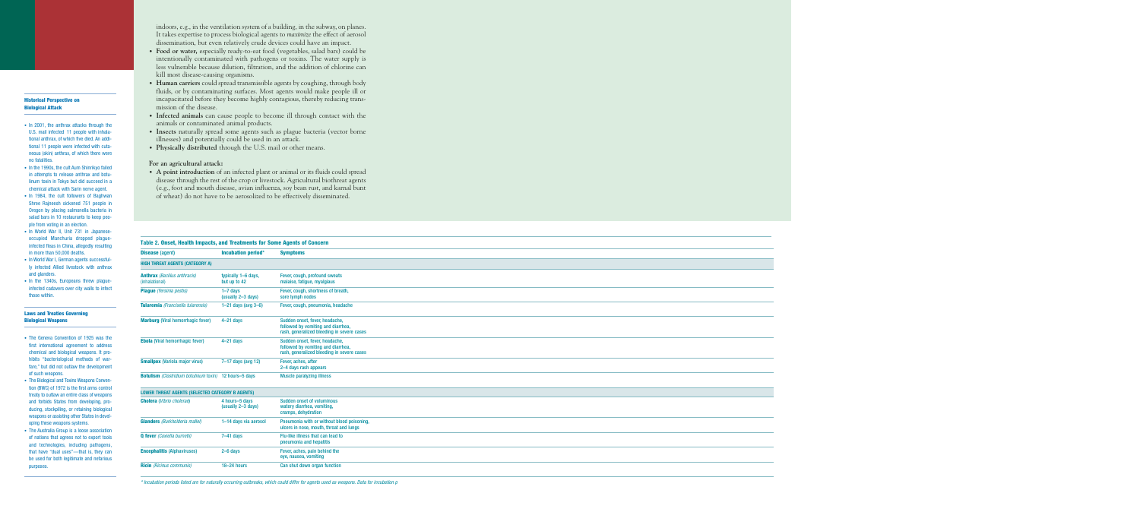#### **Historical Perspective on Biological Attack**

- In 2001, the anthrax attacks through the U.S. mail infected 11 people with inhalational anthrax, of which five died. An additional 11 people were infected with cutaneous (skin) anthrax, of which there were no fatalities.
- In the 1990s, the cult Aum Shinrikyo failed in attempts to release anthrax and botulinum toxin in Tokyo but did succeed in a chemical attack with Sarin nerve agent.
- In 1984, the cult followers of Baghwan Shree Rajneesh sickened 751 people in Oregon by placing salmonella bacteria in salad bars in 10 restaurants to keep people from voting in an election.
- In World War II, Unit 731 in Japaneseoccupied Manchuria dropped plagueinfected fleas in China, allegedly resulting in more than 50,000 deaths.
- In World War I, German agents successfully infected Allied livestock with anthrax and glanders.
- In the 1340s, Europeans threw plagueinfected cadavers over city walls to infect those within.

#### **Laws and Treaties Governing Biological Weapons**

- The Geneva Convention of 1925 was the first international agreement to address chemical and biological weapons. It prohibits "bacteriological methods of warfare," but did not outlaw the development of such weapons.
- The Biological and Toxins Weapons Convention (BWC) of 1972 is the first arms control treaty to outlaw an entire class of weapons and forbids States from developing, producing, stockpiling, or retaining biological weapons or assisting other States in developing these weapons systems.
- The Australia Group is a loose association of nations that agrees not to export tools and technologies, including pathogens, that have "dual uses"—that is, they can be used for both legitimate and nefarious purposes.

indoors, e.g., in the ventilation system of a building, in the subway, on planes. It takes expertise to process biological agents to *maximize* the effect of aerosol dissemination, but even relatively crude devices could have an impact.

- **Food or water,** especially ready-to-eat food (vegetables, salad bars) could be intentionally contaminated with pathogens or toxins. The water supply is less vulnerable because dilution, filtration, and the addition of chlorine can kill most disease-causing organisms.
- **Human carriers** could spread transmissible agents by coughing, through body fluids, or by contaminating surfaces. Most agents would make people ill or incapacitated before they become highly contagious, thereby reducing transmission of the disease.
- **Infected animals** can cause people to become ill through contact with the animals or contaminated animal products.
- Insects naturally spread some agents such as plague bacteria (vector borne illnesses) and potentially could be used in an attack.
- **Physically distributed** through the U.S. mail or other means.

#### **For an agricultural attack:**

• A point introduction of an infected plant or animal or its fluids could spread disease through the rest of the crop or livestock. Agricultural biothreat agents (e.g., foot and mouth disease, avian influenza, soy bean rust, and karnal bunt of wheat) do not have to be aerosolized to be effectively disseminated.

#### **Table 2. Onset, Health Impacts, and Treatments for Some Agents of Concern**

| <b>Disease (agent)</b>                                        | <b>Incubation period*</b>            | <b>Symptoms</b>                                                                                                    |  |
|---------------------------------------------------------------|--------------------------------------|--------------------------------------------------------------------------------------------------------------------|--|
| <b>HIGH THREAT AGENTS (CATEGORY A)</b>                        |                                      |                                                                                                                    |  |
| <b>Anthrax</b> (Bacillus anthracis)<br>(inhalational)         | typically 1–6 days,<br>but up to 42  | Fever, cough, profound sweats<br>malaise, fatique, myalqiaus                                                       |  |
| <b>Plaque</b> (Yersinia pestis)                               | $1 - 7$ days<br>(usually 2-3 days)   | Fever, cough, shortness of breath,<br>sore lymph nodes                                                             |  |
| <b>Tularemia</b> (Francisella tularensis)                     | $1 - 21$ days (avg $3 - 6$ )         | Fever, cough, pneumonia, headache                                                                                  |  |
| <b>Marburg (Viral hemorrhagic fever)</b>                      | $4 - 21$ days                        | Sudden onset, fever, headache,<br>followed by vomiting and diarrhea,<br>rash, generalized bleeding in severe cases |  |
| <b>Ebola</b> (Viral hemorrhagic fever)                        | $4 - 21$ days                        | Sudden onset, fever, headache,<br>followed by vomiting and diarrhea,<br>rash, generalized bleeding in severe cases |  |
| <b>Smallpox (Variola major virus)</b>                         | 7-17 days (avg 12)                   | Fever, aches, after<br>2-4 days rash appears                                                                       |  |
| <b>Botulism</b> (Clostridium botulinum toxin) 12 hours-5 days |                                      | <b>Muscle paralyzing illness</b>                                                                                   |  |
| LOWER THREAT AGENTS (SELECTED CATEGORY B AGENTS)              |                                      |                                                                                                                    |  |
| <b>Cholera</b> (Vibrio cholerae)                              | 4 hours-5 days<br>(usually 2-3 days) | Sudden onset of voluminous<br>watery diarrhea, vomiting,<br>cramps, dehydration                                    |  |
| <b>Glanders</b> (Burkholderia mallel)                         | 1-14 days via aerosol                | Pneumonia with or without blood poisoning,<br>ulcers in nose, mouth, throat and lungs                              |  |
| <b>Q</b> fever (Coxiella burnetii)                            | $7-41$ days                          | Flu-like illness that can lead to<br>pneumonia and hepatitis                                                       |  |
| <b>Encephalitis (Alphaviruses)</b>                            | $2 - 6$ days                         | Fever, aches, pain behind the<br>eye, nausea, vomiting                                                             |  |
| <b>Ricin</b> (Ricinus communis)                               | 18-24 hours                          | Can shut down organ function                                                                                       |  |

eriod, lethality, and persistency from U.S. Army Medical Research Institute of Infectious Diseases Blue Book, August 2004. \* Incubation periods listed are for naturally occurring outbreaks, which could differ for agents used as weapons. Data for incubation p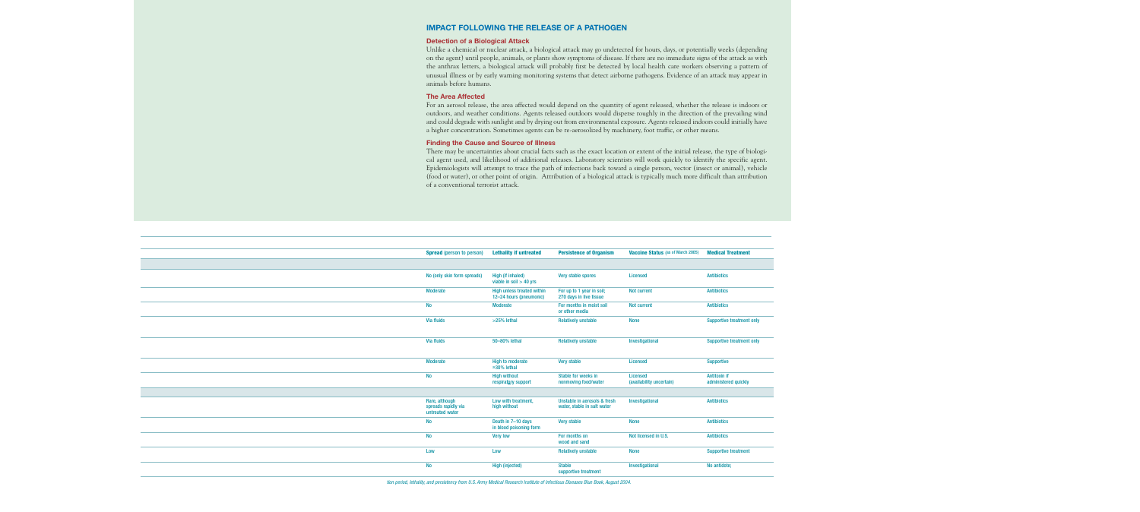## **IMPACT FOLLOWING THE RELEASE OF A PATHOGEN**

#### **Detection of a Biological Attack**

Unlike a chemical or nuclear attack, a biological attack may go undetected for hours, days, or potentially weeks (depending on the agent) until people, animals, or plants show symptoms of disease. If there are no immediate signs of the attack as with the anthrax letters, a biological attack will probably first be detected by local health care workers observing a pattern of unusual illness or by early warning monitoring systems that detect airborne pathogens. Evidence of an attack may appear in animals before humans.

#### **The Area Affected**

For an aerosol release, the area affected would depend on the quantity of agent released, whether the release is indoors or outdoors, and weather conditions. Agents released outdoors would disperse roughly in the direction of the prevailing wind and could degrade with sunlight and by drying out from environmental exposure. Agents released indoors could initially have a higher concentration. Sometimes agents can be re-aerosolized by machinery, foot traffic, or other means.

#### **Finding the Cause and Source of Illness**

There may be uncertainties about crucial facts such as the exact location or extent of the initial release, the type of biological agent used, and likelihood of additional releases. Laboratory scientists will work quickly to identify the specific agent. Epidemiologists will attempt to trace the path of infections back toward a single person, vector (insect or animal), vehicle (food or water), or other point of origin. Attribution of a biological attack is typically much more difficult than attribution of a conventional terrorist attack.

| <b>Spread</b> (person to person)                         | <b>Lethality if untreated</b>                                | <b>Persistence of Organism</b>                              | <b>Vaccine Status (as of March 2005)</b>    | <b>Medical Treatment</b>                    |
|----------------------------------------------------------|--------------------------------------------------------------|-------------------------------------------------------------|---------------------------------------------|---------------------------------------------|
|                                                          |                                                              |                                                             |                                             |                                             |
| No (only skin form spreads)                              | High (if inhaled)<br>viable in soil $>$ 40 yrs               | <b>Very stable spores</b>                                   | Licensed                                    | <b>Antibiotics</b>                          |
| <b>Moderate</b>                                          | <b>High unless treated within</b><br>12-24 hours (pneumonic) | For up to 1 year in soil;<br>270 days in live tissue        | <b>Not current</b>                          | <b>Antibiotics</b>                          |
| <b>No</b>                                                | <b>Moderate</b>                                              | For months in moist soil<br>or other media                  | Not current                                 | <b>Antibiotics</b>                          |
| <b>Via fluids</b>                                        | >25% lethal                                                  | <b>Relatively unstable</b>                                  | <b>None</b>                                 | <b>Supportive treatment only</b>            |
| <b>Via fluids</b>                                        | 50-80% lethal                                                | <b>Relatively unstable</b>                                  | Investigational                             | <b>Supportive treatment only</b>            |
| <b>Moderate</b>                                          | <b>High to moderate</b><br>$\geq$ 30% lethal                 | <b>Very stable</b>                                          | <b>Licensed</b>                             | <b>Supportive</b>                           |
| <b>No</b>                                                | <b>High without</b><br>respiratory support                   | Stable for weeks in<br>nonmoving food/water                 | <b>Licensed</b><br>(availability uncertain) | <b>Antitoxin if</b><br>administered quickly |
|                                                          |                                                              |                                                             |                                             |                                             |
| Rare, although<br>spreads rapidly via<br>untreated water | Low with treatment,<br>high without                          | Unstable in aerosols & fresh<br>water, stable in salt water | Investigational                             | <b>Antibiotics</b>                          |
| <b>No</b>                                                | Death in 7-10 days<br>in blood poisoning form                | <b>Very stable</b>                                          | <b>None</b>                                 | <b>Antibiotics</b>                          |
| <b>No</b>                                                | <b>Very low</b>                                              | For months on<br>wood and sand                              | Not licensed in U.S.                        | <b>Antibiotics</b>                          |
| Low                                                      | Low                                                          | <b>Relatively unstable</b>                                  | <b>None</b>                                 | <b>Supportive treatment</b>                 |
| <b>No</b>                                                | <b>High (injected)</b>                                       | <b>Stable</b><br>supportive treatment                       | Investigational                             | No antidote;                                |

period, lethality, and persistency from U.S. Army Medical Research Institute of Infectious Diseases Blue Book, August 2004.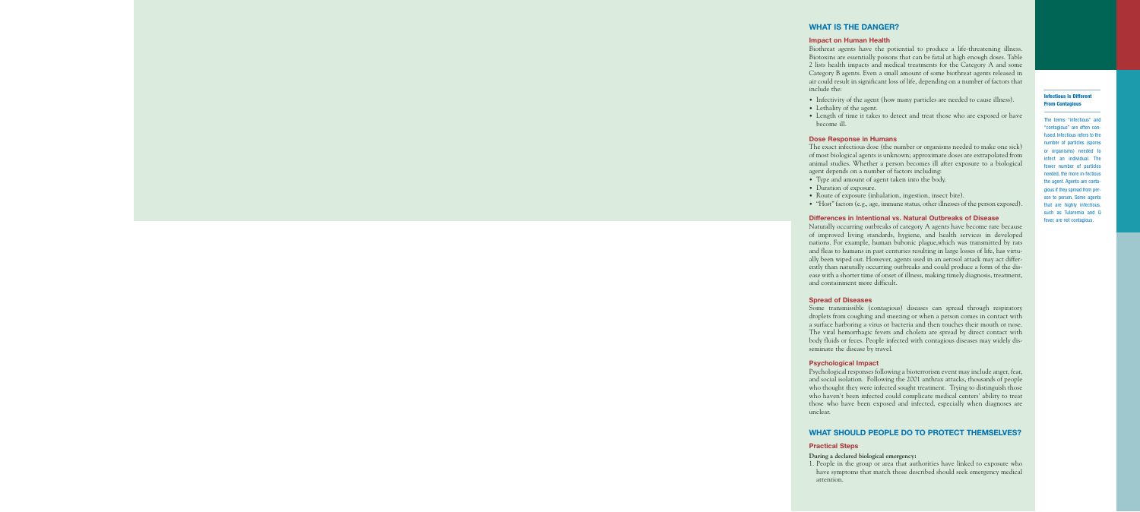### **WHAT IS THE DANGER?**

#### **Impact on Human Health**

Biothreat agents have the potiential to produce a life-threatening illness. Biotoxins are essentially poisons that can be fatal at high enough doses. Table 2 lists health impacts and medical treatments for the Category A and some Category B agents. Even a small amount of some biothreat agents released in air could result in significant loss of life, depending on a number of factors that include the:

- Infectivity of the agent (how many particles are needed to cause illness).
- Lethality of the agent.
- Length of time it takes to detect and treat those who are exposed or have become ill.

#### **Dose Response in Humans**

The exact infectious dose (the number or organisms needed to make one sick) of most biological agents is unknown; approximate doses are extrapolated from animal studies. Whether a person becomes ill after exposure to a biological agent depends on a number of factors including:

- Type and amount of agent taken into the body.
- Duration of exposure.
- Route of exposure (inhalation, ingestion, insect bite).
- "Host" factors (e.g., age, immune status, other illnesses of the person exposed).

#### **Differences in Intentional vs. Natural Outbreaks of Disease**

Naturally occurring outbreaks of category A agents have become rare because of improved living standards, hygiene, and health services in developed nations. For example, human bubonic plague,which was transmitted by rats and fleas to humans in past centuries resulting in large losses of life, has virtually been wiped out. However, agents used in an aerosol attack may act differently than naturally occurring outbreaks and could produce a form of the disease with a shorter time of onset of illness, making timely diagnosis, treatment, and containment more difficult.

#### **Spread of Diseases**

Some transmissible (contagious) diseases can spread through respiratory droplets from coughing and sneezing or when a person comes in contact with a surface harboring a virus or bacteria and then touches their mouth or nose. The viral hemorrhagic fevers and cholera are spread by direct contact with body fluids or feces. People infected with contagious diseases may widely disseminate the disease by travel.

#### **Psychological Impact**

Psychological responses following a bioterrorism event may include anger, fear, and social isolation. Following the 2001 anthrax attacks, thousands of people who thought they were infected sought treatment. Trying to distinguish those who haven't been infected could complicate medical centers' ability to treat those who have been exposed and infected, especially when diagnoses are unclear.

### **WHAT SHOULD PEOPLE DO TO PROTECT THEMSELVES?**

#### **Practical Steps**

#### **During a declared biological emergency:**

1. People in the group or area that authorities have linked to exposure who have symptoms that match those described should seek emergency medical attention.

#### **Infectious Is Different From Contagious**

The terms "infectious" and "contagious" are often confused. Infectious refers to the number of particles (spores or organisms) needed to infect an individual. The fewer number of particles needed, the more in-fectious the agent. Agents are contaaious if they spread from person to person. Some agents that are highly infectious. such as Tularemia and Q fever, are not contagious.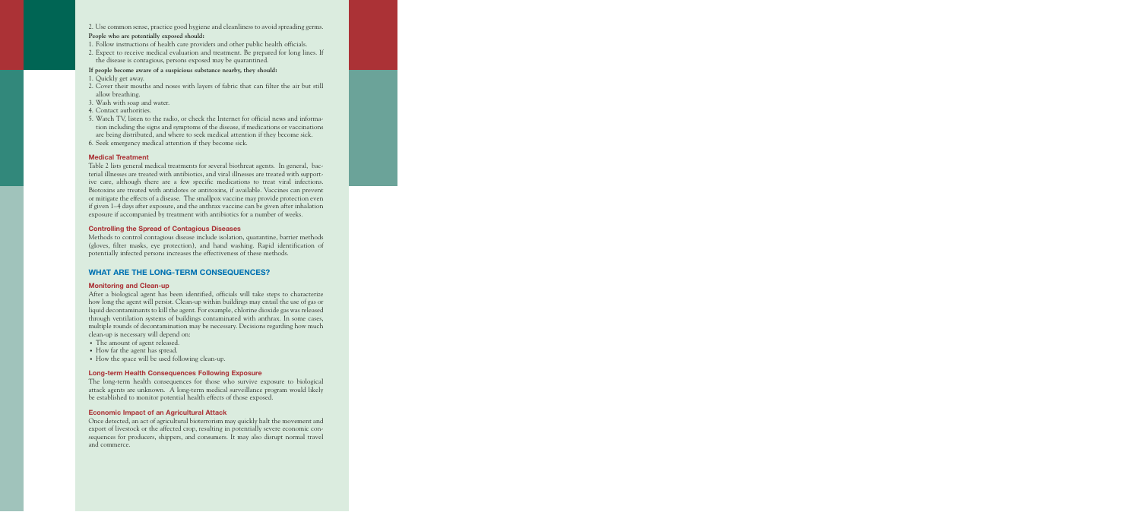2. Use common sense, practice good hygiene and cleanliness to avoid spreading germs.

**People who are potentially exposed should:** 

- 1. Follow instructions of health care providers and other public health officials.
- 2. Expect to receive medical evaluation and treatment. Be prepared for long lines. If the disease is contagious, persons exposed may be quarantined.

#### **If people become aware of a suspicious substance nearby, they should:**

- 1. Quickly get away.
- 2. Cover their mouths and noses with layers of fabric that can filter the air but still allow breathing.
- 3. Wash with soap and water.
- 4. Contact authorities.
- 5. Watch TV, listen to the radio, or check the Internet for official news and information including the signs and symptoms of the disease, if medications or vaccinations are being distributed, and where to seek medical attention if they become sick.
- 6. Seek emergency medical attention if they become sick.

#### **Medical Treatment**

Table 2 lists general medical treatments for several biothreat agents. In general, bacterial illnesses are treated with antibiotics, and viral illnesses are treated with supportive care, although there are a few specific medications to treat viral infections. Biotoxins are treated with antidotes or antitoxins, if available. Vaccines can prevent or mitigate the effects of a disease. The smallpox vaccine may provide protection even if given 1–4 days after exposure, and the anthrax vaccine can be given after inhalation exposure if accompanied by treatment with antibiotics for a number of weeks.

#### **Controlling the Spread of Contagious Diseases**

Methods to control contagious disease include isolation, quarantine, barrier methods (gloves, filter masks, eye protection), and hand washing. Rapid identification of potentially infected persons increases the effectiveness of these methods.

#### **WHAT ARE THE LONG-TERM CONSEQUENCES?**

#### **Monitoring and Clean-up**

After a biological agent has been identified, officials will take steps to characterize how long the agent will persist. Clean-up within buildings may entail the use of gas or liquid decontaminants to kill the agent. For example, chlorine dioxide gas was released through ventilation systems of buildings contaminated with anthrax. In some cases, multiple rounds of decontamination may be necessary. Decisions regarding how much clean-up is necessary will depend on:

- The amount of agent released.
- How far the agent has spread.
- How the space will be used following clean-up.

### **Long-term Health Consequences Following Exposure**

The long-term health consequences for those who survive exposure to biological attack agents are unknown. A long-term medical surveillance program would likely be established to monitor potential health effects of those exposed.

#### **Economic Impact of an Agricultural Attack**

Once detected, an act of agricultural bioterrorism may quickly halt the movement and export of livestock or the affected crop, resulting in potentially severe economic consequences for producers, shippers, and consumers. It may also disrupt normal travel and commerce.